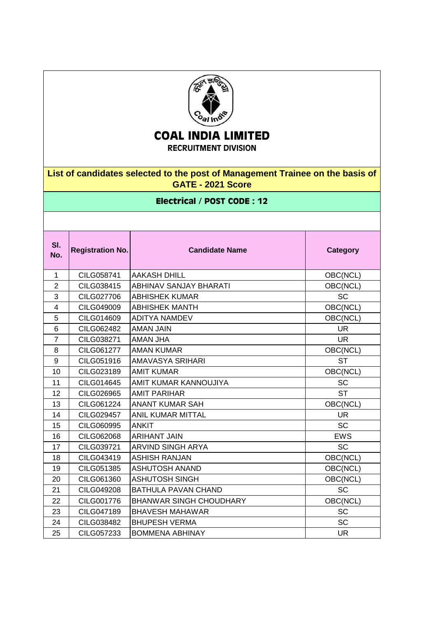

## **COAL INDIA LIMITED**

**RECRUITMENT DIVISION**

**List of candidates selected to the post of Management Trainee on the basis of GATE - 2021 Score**

## **Electrical / POST CODE : 12**

| SI.<br>No.              | <b>Registration No.</b> | <b>Candidate Name</b>          | <b>Category</b> |
|-------------------------|-------------------------|--------------------------------|-----------------|
| $\mathbf{1}$            | CILG058741              | <b>AAKASH DHILL</b>            | OBC(NCL)        |
| $\overline{2}$          | CILG038415              | <b>ABHINAV SANJAY BHARATI</b>  | OBC(NCL)        |
| 3                       | CILG027706              | <b>ABHISHEK KUMAR</b>          | <b>SC</b>       |
| $\overline{\mathbf{4}}$ | CILG049009              | <b>ABHISHEK MANTH</b>          | OBC(NCL)        |
| 5                       | CILG014609              | <b>ADITYA NAMDEV</b>           | OBC(NCL)        |
| 6                       | CILG062482              | <b>AMAN JAIN</b>               | <b>UR</b>       |
| $\overline{7}$          | CILG038271              | AMAN JHA                       | <b>UR</b>       |
| 8                       | CILG061277              | <b>AMAN KUMAR</b>              | OBC(NCL)        |
| 9                       | CILG051916              | AMAVASYA SRIHARI               | <b>ST</b>       |
| 10                      | CILG023189              | <b>AMIT KUMAR</b>              | OBC(NCL)        |
| 11                      | CILG014645              | AMIT KUMAR KANNOUJIYA          | <b>SC</b>       |
| 12                      | CILG026965              | <b>AMIT PARIHAR</b>            | <b>ST</b>       |
| 13                      | CILG061224              | <b>ANANT KUMAR SAH</b>         | OBC(NCL)        |
| 14                      | CILG029457              | <b>ANIL KUMAR MITTAL</b>       | <b>UR</b>       |
| 15                      | CILG060995              | <b>ANKIT</b>                   | <b>SC</b>       |
| 16                      | CILG062068              | <b>ARIHANT JAIN</b>            | <b>EWS</b>      |
| 17                      | CILG039721              | ARVIND SINGH ARYA              | <b>SC</b>       |
| 18                      | CILG043419              | <b>ASHISH RANJAN</b>           | OBC(NCL)        |
| 19                      | CILG051385              | <b>ASHUTOSH ANAND</b>          | OBC(NCL)        |
| 20                      | CILG061360              | <b>ASHUTOSH SINGH</b>          | OBC(NCL)        |
| 21                      | CILG049208              | <b>BATHULA PAVAN CHAND</b>     | <b>SC</b>       |
| 22                      | CILG001776              | <b>BHANWAR SINGH CHOUDHARY</b> | OBC(NCL)        |
| 23                      | CILG047189              | <b>BHAVESH MAHAWAR</b>         | <b>SC</b>       |
| 24                      | CILG038482              | <b>BHUPESH VERMA</b>           | <b>SC</b>       |
| 25                      | CILG057233              | <b>BOMMENA ABHINAY</b>         | <b>UR</b>       |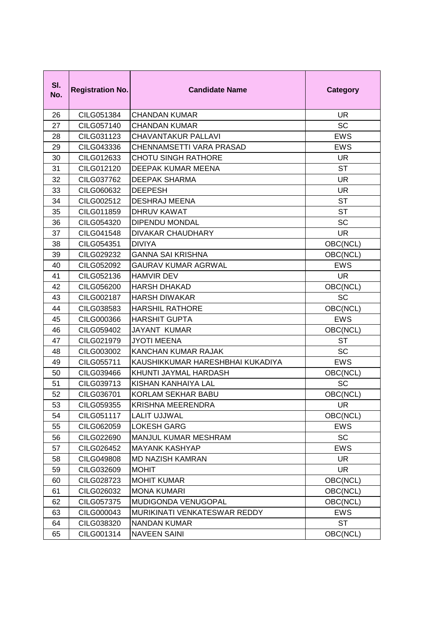| SI.<br>No. | <b>Registration No.</b> | <b>Candidate Name</b>            | <b>Category</b> |
|------------|-------------------------|----------------------------------|-----------------|
| 26         | CILG051384              | <b>CHANDAN KUMAR</b>             | <b>UR</b>       |
| 27         | CILG057140              | <b>CHANDAN KUMAR</b>             | <b>SC</b>       |
| 28         | CILG031123              | <b>CHAVANTAKUR PALLAVI</b>       | <b>EWS</b>      |
| 29         | CILG043336              | CHENNAMSETTI VARA PRASAD         | <b>EWS</b>      |
| 30         | CILG012633              | <b>CHOTU SINGH RATHORE</b>       | <b>UR</b>       |
| 31         | CILG012120              | DEEPAK KUMAR MEENA               | <b>ST</b>       |
| 32         | CILG037762              | <b>DEEPAK SHARMA</b>             | <b>UR</b>       |
| 33         | CILG060632              | <b>DEEPESH</b>                   | <b>UR</b>       |
| 34         | CILG002512              | <b>DESHRAJ MEENA</b>             | <b>ST</b>       |
| 35         | CILG011859              | <b>DHRUV KAWAT</b>               | <b>ST</b>       |
| 36         | CILG054320              | <b>DIPENDU MONDAL</b>            | <b>SC</b>       |
| 37         | CILG041548              | <b>DIVAKAR CHAUDHARY</b>         | <b>UR</b>       |
| 38         | CILG054351              | <b>DIVIYA</b>                    | OBC(NCL)        |
| 39         | CILG029232              | <b>GANNA SAI KRISHNA</b>         | OBC(NCL)        |
| 40         | CILG052092              | <b>GAURAV KUMAR AGRWAL</b>       | <b>EWS</b>      |
| 41         | CILG052136              | <b>HAMVIR DEV</b>                | <b>UR</b>       |
| 42         | CILG056200              | <b>HARSH DHAKAD</b>              | OBC(NCL)        |
| 43         | CILG002187              | <b>HARSH DIWAKAR</b>             | <b>SC</b>       |
| 44         | CILG038583              | <b>HARSHIL RATHORE</b>           | OBC(NCL)        |
| 45         | CILG000366              | <b>HARSHIT GUPTA</b>             | <b>EWS</b>      |
| 46         | CILG059402              | <b>JAYANT KUMAR</b>              | OBC(NCL)        |
| 47         | CILG021979              | <b>JYOTI MEENA</b>               | <b>ST</b>       |
| 48         | CILG003002              | KANCHAN KUMAR RAJAK              | <b>SC</b>       |
| 49         | CILG055711              | KAUSHIKKUMAR HARESHBHAI KUKADIYA | <b>EWS</b>      |
| 50         | CILG039466              | KHUNTI JAYMAL HARDASH            | OBC(NCL)        |
| 51         | CILG039713              | KISHAN KANHAIYA LAL              | SC              |
| 52         | CILG036701              | KORLAM SEKHAR BABU               | OBC(NCL)        |
| 53         | CILG059355              | <b>KRISHNA MEERENDRA</b>         | <b>UR</b>       |
| 54         | CILG051117              | <b>LALIT UJJWAL</b>              | OBC(NCL)        |
| 55         | CILG062059              | <b>LOKESH GARG</b>               | EWS             |
| 56         | CILG022690              | MANJUL KUMAR MESHRAM             | SC              |
| 57         | CILG026452              | <b>MAYANK KASHYAP</b>            | <b>EWS</b>      |
| 58         | CILG049808              | <b>MD NAZISH KAMRAN</b>          | <b>UR</b>       |
| 59         | CILG032609              | <b>MOHIT</b>                     | <b>UR</b>       |
| 60         | CILG028723              | <b>MOHIT KUMAR</b>               | OBC(NCL)        |
| 61         | CILG026032              | <b>MONA KUMARI</b>               | OBC(NCL)        |
| 62         | CILG057375              | MUDIGONDA VENUGOPAL              | OBC(NCL)        |
| 63         | CILG000043              | MURIKINATI VENKATESWAR REDDY     | <b>EWS</b>      |
| 64         | CILG038320              | <b>NANDAN KUMAR</b>              | <b>ST</b>       |
| 65         | CILG001314              | <b>NAVEEN SAINI</b>              | OBC(NCL)        |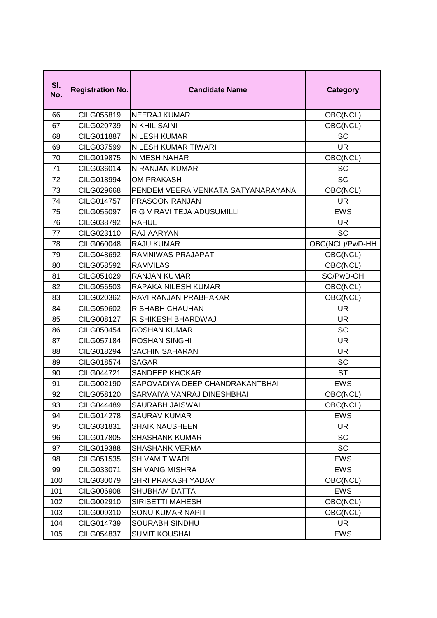| SI.<br>No. | <b>Registration No.</b> | <b>Candidate Name</b>              | Category        |
|------------|-------------------------|------------------------------------|-----------------|
| 66         | CILG055819              | <b>NEERAJ KUMAR</b>                | OBC(NCL)        |
| 67         | CILG020739              | <b>NIKHIL SAINI</b>                | OBC(NCL)        |
| 68         | CILG011887              | <b>NILESH KUMAR</b>                | <b>SC</b>       |
| 69         | CILG037599              | <b>NILESH KUMAR TIWARI</b>         | UR.             |
| 70         | <b>CILG019875</b>       | <b>NIMESH NAHAR</b>                | OBC(NCL)        |
| 71         | CILG036014              | <b>NIRANJAN KUMAR</b>              | SC              |
| 72         | CILG018994              | <b>OM PRAKASH</b>                  | <b>SC</b>       |
| 73         | CILG029668              | PENDEM VEERA VENKATA SATYANARAYANA | OBC(NCL)        |
| 74         | CILG014757              | PRASOON RANJAN                     | <b>UR</b>       |
| 75         | CILG055097              | R G V RAVI TEJA ADUSUMILLI         | <b>EWS</b>      |
| 76         | CILG038792              | <b>RAHUL</b>                       | <b>UR</b>       |
| 77         | CILG023110              | <b>RAJ AARYAN</b>                  | <b>SC</b>       |
| 78         | CILG060048              | <b>RAJU KUMAR</b>                  | OBC(NCL)/PwD-HH |
| 79         | CILG048692              | RAMNIWAS PRAJAPAT                  | OBC(NCL)        |
| 80         | CILG058592              | <b>RAMVILAS</b>                    | OBC(NCL)        |
| 81         | CILG051029              | <b>RANJAN KUMAR</b>                | SC/PwD-OH       |
| 82         | CILG056503              | RAPAKA NILESH KUMAR                | OBC(NCL)        |
| 83         | CILG020362              | RAVI RANJAN PRABHAKAR              | OBC(NCL)        |
| 84         | CILG059602              | <b>RISHABH CHAUHAN</b>             | <b>UR</b>       |
| 85         | CILG008127              | RISHIKESH BHARDWAJ                 | <b>UR</b>       |
| 86         | CILG050454              | <b>ROSHAN KUMAR</b>                | <b>SC</b>       |
| 87         | CILG057184              | <b>ROSHAN SINGHI</b>               | <b>UR</b>       |
| 88         | CILG018294              | <b>SACHIN SAHARAN</b>              | <b>UR</b>       |
| 89         | CILG018574              | <b>SAGAR</b>                       | <b>SC</b>       |
| 90         | CILG044721              | <b>SANDEEP KHOKAR</b>              | <b>ST</b>       |
| 91         | CILG002190              | SAPOVADIYA DEEP CHANDRAKANTBHAI    | <b>EWS</b>      |
| 92         | CILG058120              | SARVAIYA VANRAJ DINESHBHAI         | OBC(NCL)        |
| 93         | CILG044489              | SAURABH JAISWAL                    | OBC(NCL)        |
| 94         | CILG014278              | <b>SAURAV KUMAR</b>                | <b>EWS</b>      |
| 95         | CILG031831              | <b>SHAIK NAUSHEEN</b>              | <b>UR</b>       |
| 96         | CILG017805              | <b>SHASHANK KUMAR</b>              | SC              |
| 97         | CILG019388              | <b>SHASHANK VERMA</b>              | <b>SC</b>       |
| 98         | CILG051535              | <b>SHIVAM TIWARI</b>               | <b>EWS</b>      |
| 99         | CILG033071              | <b>SHIVANG MISHRA</b>              | <b>EWS</b>      |
| 100        | CILG030079              | SHRI PRAKASH YADAV                 | OBC(NCL)        |
| 101        | CILG006908              | <b>SHUBHAM DATTA</b>               | <b>EWS</b>      |
| 102        | CILG002910              | SIRISETTI MAHESH                   | OBC(NCL)        |
| 103        | CILG009310              | SONU KUMAR NAPIT                   | OBC(NCL)        |
| 104        | CILG014739              | SOURABH SINDHU                     | <b>UR</b>       |
| 105        | CILG054837              | <b>SUMIT KOUSHAL</b>               | <b>EWS</b>      |